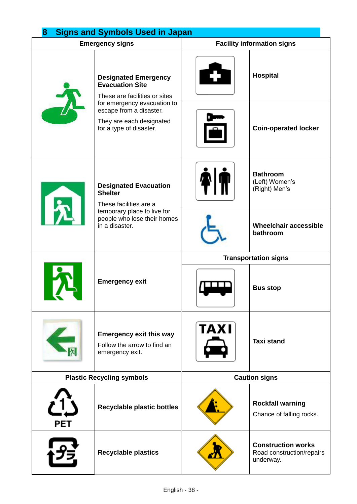| 8<br><b>Signs and Symbols Used in Japan</b> |                                                                                                                                                                                                         |                                   |                                                                     |  |
|---------------------------------------------|---------------------------------------------------------------------------------------------------------------------------------------------------------------------------------------------------------|-----------------------------------|---------------------------------------------------------------------|--|
| <b>Emergency signs</b>                      |                                                                                                                                                                                                         | <b>Facility information signs</b> |                                                                     |  |
|                                             | <b>Designated Emergency</b><br><b>Evacuation Site</b><br>These are facilities or sites<br>for emergency evacuation to<br>escape from a disaster.<br>They are each designated<br>for a type of disaster. |                                   | Hospital                                                            |  |
|                                             |                                                                                                                                                                                                         |                                   | <b>Coin-operated locker</b>                                         |  |
| l 5                                         | <b>Designated Evacuation</b><br><b>Shelter</b><br>These facilities are a<br>temporary place to live for<br>people who lose their homes<br>in a disaster.                                                |                                   | <b>Bathroom</b><br>(Left) Women's<br>(Right) Men's                  |  |
|                                             |                                                                                                                                                                                                         |                                   | <b>Wheelchair accessible</b><br>bathroom                            |  |
|                                             | <b>Emergency exit</b>                                                                                                                                                                                   | <b>Transportation signs</b>       |                                                                     |  |
|                                             |                                                                                                                                                                                                         |                                   | <b>Bus stop</b>                                                     |  |
|                                             | <b>Emergency exit this way</b><br>Follow the arrow to find an<br>emergency exit.                                                                                                                        | <b>TAXI</b>                       | <b>Taxi stand</b>                                                   |  |
| <b>Plastic Recycling symbols</b>            |                                                                                                                                                                                                         | <b>Caution signs</b>              |                                                                     |  |
| PET                                         | <b>Recyclable plastic bottles</b>                                                                                                                                                                       |                                   | <b>Rockfall warning</b><br>Chance of falling rocks.                 |  |
|                                             | <b>Recyclable plastics</b>                                                                                                                                                                              |                                   | <b>Construction works</b><br>Road construction/repairs<br>underway. |  |